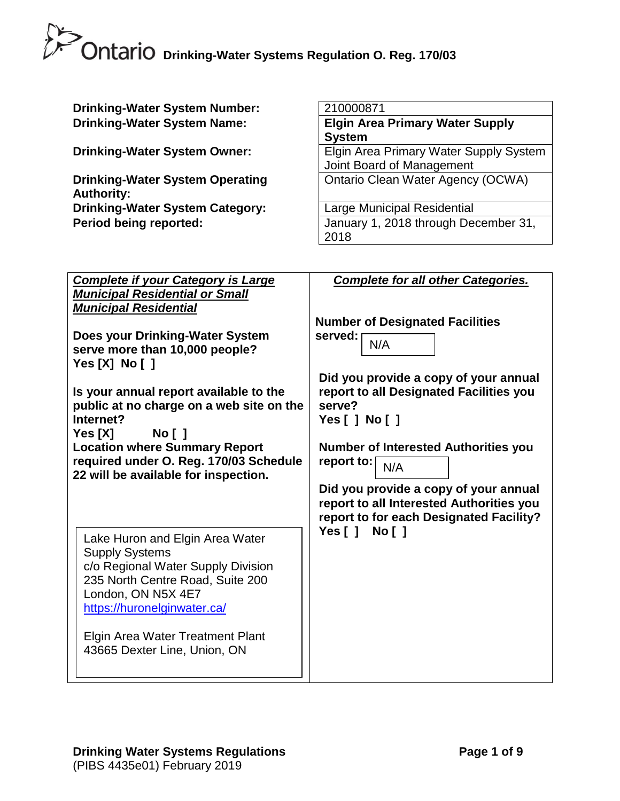| <b>Drinking-Water System Number:</b>                                               | 210000871                                                                        |
|------------------------------------------------------------------------------------|----------------------------------------------------------------------------------|
| <b>Drinking-Water System Name:</b>                                                 | <b>Elgin Area Primary Water Supply</b>                                           |
|                                                                                    | <b>System</b>                                                                    |
| <b>Drinking-Water System Owner:</b>                                                | Elgin Area Primary Water Supply System                                           |
| <b>Drinking-Water System Operating</b>                                             | Joint Board of Management<br>Ontario Clean Water Agency (OCWA)                   |
| <b>Authority:</b>                                                                  |                                                                                  |
| <b>Drinking-Water System Category:</b>                                             | Large Municipal Residential                                                      |
| <b>Period being reported:</b>                                                      | January 1, 2018 through December 31,                                             |
|                                                                                    | 2018                                                                             |
|                                                                                    |                                                                                  |
|                                                                                    |                                                                                  |
| <b>Complete if your Category is Large</b><br><b>Municipal Residential or Small</b> | <b>Complete for all other Categories.</b>                                        |
| <b>Municipal Residential</b>                                                       |                                                                                  |
|                                                                                    | <b>Number of Designated Facilities</b>                                           |
| Does your Drinking-Water System                                                    | served:<br>N/A                                                                   |
| serve more than 10,000 people?                                                     |                                                                                  |
| Yes $[X]$ No $[$ ]                                                                 |                                                                                  |
| Is your annual report available to the                                             | Did you provide a copy of your annual<br>report to all Designated Facilities you |
| public at no charge on a web site on the                                           | serve?                                                                           |
| Internet?                                                                          | Yes [ ] No [ ]                                                                   |
| No [ ]<br>Yes [X]                                                                  |                                                                                  |
| <b>Location where Summary Report</b>                                               | Number of Interested Authorities you                                             |
| required under O. Reg. 170/03 Schedule                                             | report to:<br>N/A                                                                |
| 22 will be available for inspection.                                               | Did you provide a copy of your annual                                            |
|                                                                                    | report to all Interested Authorities you                                         |
|                                                                                    | report to for each Designated Facility?                                          |
| Lake Huron and Elgin Area Water                                                    | Yes [ ]<br>No [ ]                                                                |
| <b>Supply Systems</b>                                                              |                                                                                  |
| c/o Regional Water Supply Division                                                 |                                                                                  |
| 235 North Centre Road, Suite 200                                                   |                                                                                  |
| London, ON N5X 4E7                                                                 |                                                                                  |
| https://huronelginwater.ca/                                                        |                                                                                  |
| <b>Elgin Area Water Treatment Plant</b>                                            |                                                                                  |
| 43665 Dexter Line, Union, ON                                                       |                                                                                  |
|                                                                                    |                                                                                  |
|                                                                                    |                                                                                  |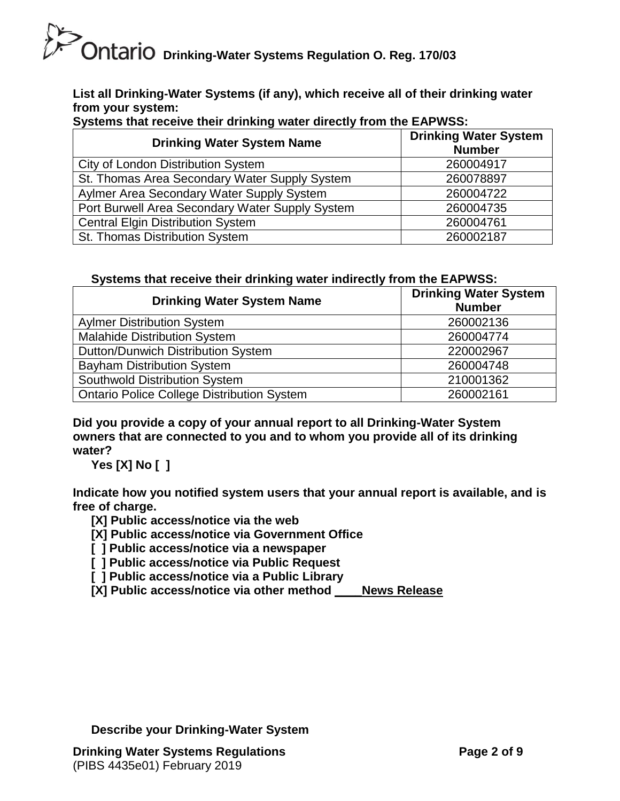# **DRICH DRIGHT OF STRING DRIGHT OF THE ORIGHT OF CHATIO** Drinking-Water Systems Regulation O. Reg. 170/03

**List all Drinking-Water Systems (if any), which receive all of their drinking water from your system:**

| <b>Drinking Water System Name</b>               | <b>Drinking Water System</b><br><b>Number</b> |
|-------------------------------------------------|-----------------------------------------------|
| <b>City of London Distribution System</b>       | 260004917                                     |
| St. Thomas Area Secondary Water Supply System   | 260078897                                     |
| Aylmer Area Secondary Water Supply System       | 260004722                                     |
| Port Burwell Area Secondary Water Supply System | 260004735                                     |
| <b>Central Elgin Distribution System</b>        | 260004761                                     |
| St. Thomas Distribution System                  | 260002187                                     |

**Systems that receive their drinking water directly from the EAPWSS:**

#### **Systems that receive their drinking water indirectly from the EAPWSS:**

| <b>Drinking Water System Name</b>                 | <b>Drinking Water System</b><br><b>Number</b> |
|---------------------------------------------------|-----------------------------------------------|
| <b>Aylmer Distribution System</b>                 | 260002136                                     |
| <b>Malahide Distribution System</b>               | 260004774                                     |
| Dutton/Dunwich Distribution System                | 220002967                                     |
| <b>Bayham Distribution System</b>                 | 260004748                                     |
| Southwold Distribution System                     | 210001362                                     |
| <b>Ontario Police College Distribution System</b> | 260002161                                     |

**Did you provide a copy of your annual report to all Drinking-Water System owners that are connected to you and to whom you provide all of its drinking water?** 

**Yes [X] No [ ]**

**Indicate how you notified system users that your annual report is available, and is free of charge.** 

**[X] Public access/notice via the web** 

**[X] Public access/notice via Government Office**

**[ ] Public access/notice via a newspaper** 

**[ ] Public access/notice via Public Request**

**[ ] Public access/notice via a Public Library** 

**[X] Public access/notice via other method \_\_\_\_News Release**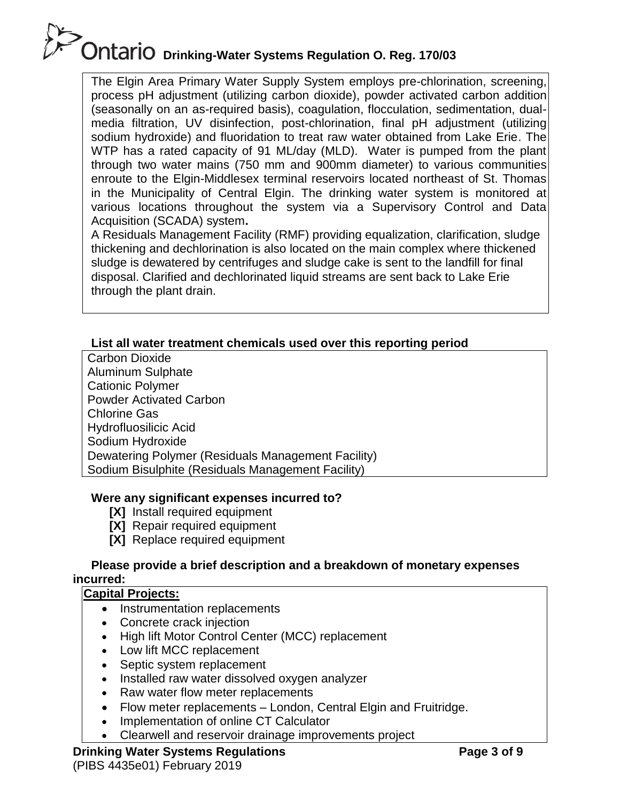The Elgin Area Primary Water Supply System employs pre-chlorination, screening, process pH adjustment (utilizing carbon dioxide), powder activated carbon addition (seasonally on an as-required basis), coagulation, flocculation, sedimentation, dualmedia filtration, UV disinfection, post-chlorination, final pH adjustment (utilizing sodium hydroxide) and fluoridation to treat raw water obtained from Lake Erie. The WTP has a rated capacity of 91 ML/day (MLD). Water is pumped from the plant through two water mains (750 mm and 900mm diameter) to various communities enroute to the Elgin-Middlesex terminal reservoirs located northeast of St. Thomas in the Municipality of Central Elgin. The drinking water system is monitored at various locations throughout the system via a Supervisory Control and Data Acquisition (SCADA) system**.**

A Residuals Management Facility (RMF) providing equalization, clarification, sludge thickening and dechlorination is also located on the main complex where thickened sludge is dewatered by centrifuges and sludge cake is sent to the landfill for final disposal. Clarified and dechlorinated liquid streams are sent back to Lake Erie through the plant drain.

#### **List all water treatment chemicals used over this reporting period**

Carbon Dioxide Aluminum Sulphate Cationic Polymer Powder Activated Carbon Chlorine Gas Hydrofluosilicic Acid Sodium Hydroxide Dewatering Polymer (Residuals Management Facility) Sodium Bisulphite (Residuals Management Facility)

#### **Were any significant expenses incurred to?**

- **[X]** Install required equipment
- **[X]** Repair required equipment
- **[X]** Replace required equipment

#### **Please provide a brief description and a breakdown of monetary expenses incurred:**

#### **Capital Projects:**

- Instrumentation replacements
- Concrete crack injection
- High lift Motor Control Center (MCC) replacement
- Low lift MCC replacement
- Septic system replacement
- Installed raw water dissolved oxygen analyzer
- Raw water flow meter replacements
- Flow meter replacements London, Central Elgin and Fruitridge.
- Implementation of online CT Calculator
- Clearwell and reservoir drainage improvements project

#### **Drinking Water Systems Regulations**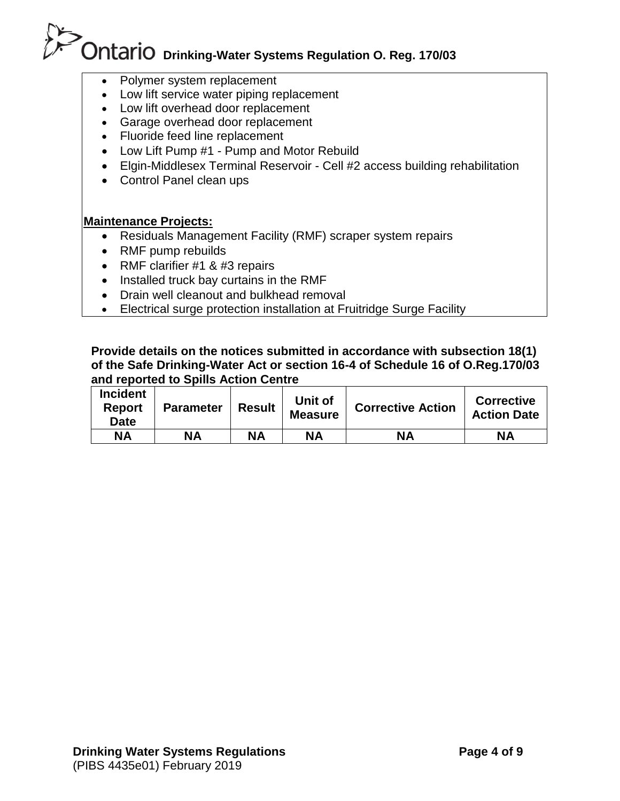- Polymer system replacement
- Low lift service water piping replacement
- Low lift overhead door replacement
- Garage overhead door replacement
- Fluoride feed line replacement
- Low Lift Pump #1 Pump and Motor Rebuild
- Elgin-Middlesex Terminal Reservoir Cell #2 access building rehabilitation
- Control Panel clean ups

#### **Maintenance Projects:**

- Residuals Management Facility (RMF) scraper system repairs
- RMF pump rebuilds
- RMF clarifier #1 & #3 repairs
- Installed truck bay curtains in the RMF
- Drain well cleanout and bulkhead removal
- Electrical surge protection installation at Fruitridge Surge Facility

#### **Provide details on the notices submitted in accordance with subsection 18(1) of the Safe Drinking-Water Act or section 16-4 of Schedule 16 of O.Reg.170/03 and reported to Spills Action Centre**

| <b>Incident</b><br><b>Report</b><br><b>Date</b> | <b>Parameter</b> | <b>Result</b> | Unit of<br><b>Measure</b> | <b>Corrective Action</b> | <b>Corrective</b><br><b>Action Date</b> |
|-------------------------------------------------|------------------|---------------|---------------------------|--------------------------|-----------------------------------------|
| NΑ                                              | <b>NA</b>        | NΑ            | <b>NA</b>                 | <b>NA</b>                | <b>NA</b>                               |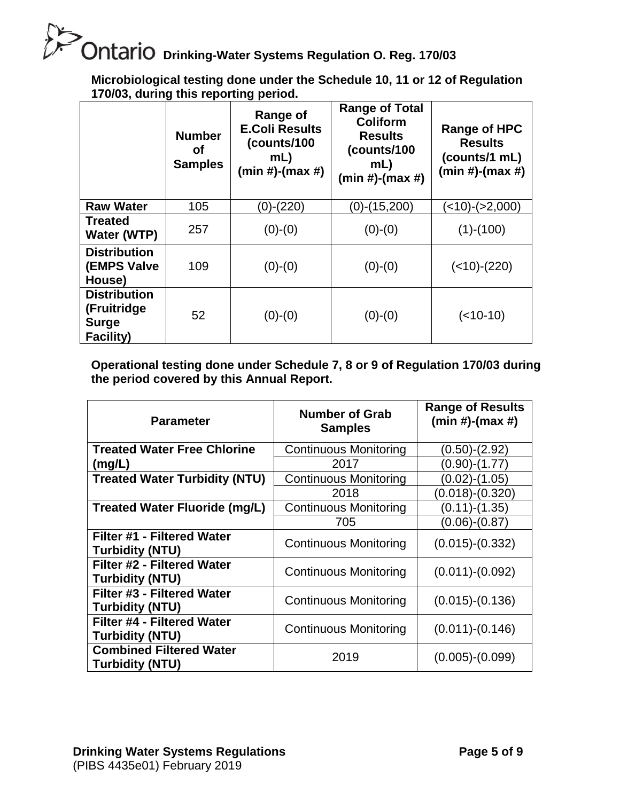**Microbiological testing done under the Schedule 10, 11 or 12 of Regulation 170/03, during this reporting period.**

|                                                                        | <b>Number</b><br>οf<br><b>Samples</b> | Range of<br><b>E.Coli Results</b><br>(counts/100<br>mL<br>$(min #)-(max #)$ | <b>Range of Total</b><br>Coliform<br><b>Results</b><br>(counts/100<br>mL<br>$(min#)-(max#)$ | <b>Range of HPC</b><br><b>Results</b><br>(counts/1 mL)<br>$(min #)-(max #)$ |
|------------------------------------------------------------------------|---------------------------------------|-----------------------------------------------------------------------------|---------------------------------------------------------------------------------------------|-----------------------------------------------------------------------------|
| <b>Raw Water</b>                                                       | 105                                   | (0)-(220)                                                                   | (0)-(15,200)                                                                                | (<10)-(>2,000)                                                              |
| <b>Treated</b><br>Water (WTP)                                          | 257                                   | $(0)-(0)$                                                                   | $(0)-(0)$                                                                                   | $(1)-(100)$                                                                 |
| <b>Distribution</b><br><b>(EMPS Valve</b><br>House)                    | 109                                   | $(0)-(0)$                                                                   | $(0)-(0)$                                                                                   | $(<10)-(220)$                                                               |
| <b>Distribution</b><br>(Fruitridge<br><b>Surge</b><br><b>Facility)</b> | 52                                    | $(0)-(0)$                                                                   | $(0)-(0)$                                                                                   | $(<10-10)$                                                                  |

**Operational testing done under Schedule 7, 8 or 9 of Regulation 170/03 during the period covered by this Annual Report.**

| <b>Parameter</b>                                         | <b>Number of Grab</b><br><b>Samples</b> | <b>Range of Results</b><br>$(min #)-(max #)$ |
|----------------------------------------------------------|-----------------------------------------|----------------------------------------------|
| <b>Treated Water Free Chlorine</b>                       | <b>Continuous Monitoring</b>            | (0.50)-(2.92)                                |
| (mg/L)                                                   | 2017                                    | (0.90)-(1.77)                                |
| <b>Treated Water Turbidity (NTU)</b>                     | <b>Continuous Monitoring</b>            | (0.02)-(1.05)                                |
|                                                          | 2018                                    | $(0.018)-(0.320)$                            |
| <b>Treated Water Fluoride (mg/L)</b>                     | <b>Continuous Monitoring</b>            | (0.11)-(1.35)                                |
|                                                          | 705                                     | $(0.06)-(0.87)$                              |
| Filter #1 - Filtered Water<br><b>Turbidity (NTU)</b>     | <b>Continuous Monitoring</b>            | $(0.015)-(0.332)$                            |
| Filter #2 - Filtered Water<br><b>Turbidity (NTU)</b>     | <b>Continuous Monitoring</b>            | $(0.011)-(0.092)$                            |
| Filter #3 - Filtered Water<br><b>Turbidity (NTU)</b>     | <b>Continuous Monitoring</b>            | $(0.015)-(0.136)$                            |
| Filter #4 - Filtered Water<br><b>Turbidity (NTU)</b>     | <b>Continuous Monitoring</b>            | $(0.011)-(0.146)$                            |
| <b>Combined Filtered Water</b><br><b>Turbidity (NTU)</b> | 2019                                    | $(0.005)-(0.099)$                            |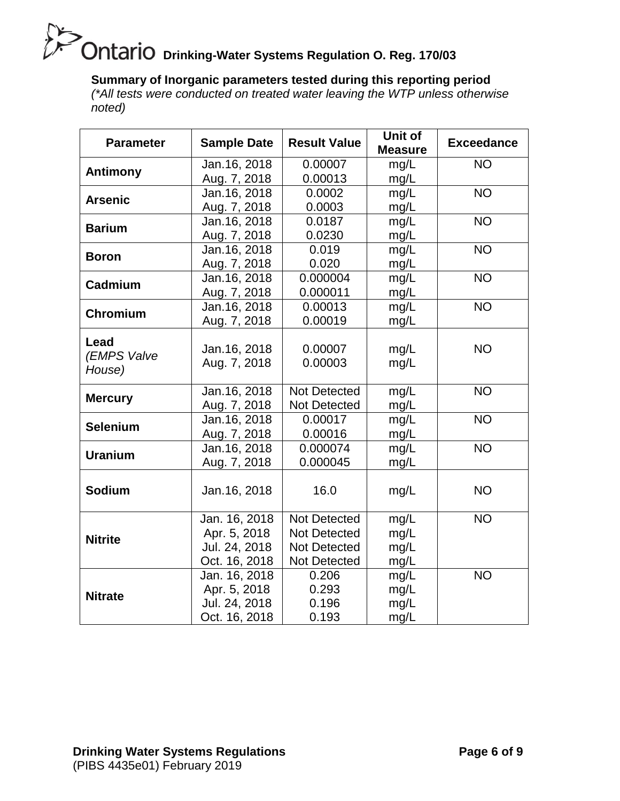## **Drianich Stead Stead Server Contains Contain Contain Contains Contains Contains Contains Contains Contains Conta**

#### **Summary of Inorganic parameters tested during this reporting period**

*(\*All tests were conducted on treated water leaving the WTP unless otherwise noted)*

| <b>Parameter</b>              | <b>Sample Date</b>            | <b>Result Value</b> | Unit of<br><b>Measure</b> | <b>Exceedance</b> |
|-------------------------------|-------------------------------|---------------------|---------------------------|-------------------|
|                               | Jan. 16, 2018                 | 0.00007             | mg/L                      | <b>NO</b>         |
| <b>Antimony</b>               | Aug. 7, 2018                  | 0.00013             | mg/L                      |                   |
| <b>Arsenic</b>                | Jan.16, 2018                  | 0.0002              | mg/L                      | <b>NO</b>         |
|                               | Aug. 7, 2018                  | 0.0003              | mg/L                      |                   |
| <b>Barium</b>                 | Jan.16, 2018                  | 0.0187              | mg/L                      | <b>NO</b>         |
|                               | Aug. 7, 2018                  | 0.0230              | mg/L                      |                   |
| <b>Boron</b>                  | Jan. 16, 2018                 | 0.019               | mg/L                      | <b>NO</b>         |
|                               | Aug. 7, 2018                  | 0.020               | mg/L                      |                   |
| Cadmium                       | Jan.16, 2018                  | 0.000004            | mg/L                      | <b>NO</b>         |
|                               | Aug. 7, 2018                  | 0.000011            | mg/L                      |                   |
| Chromium                      | Jan. 16, 2018                 | 0.00013             | mg/L                      | <b>NO</b>         |
|                               | Aug. 7, 2018                  | 0.00019             | mg/L                      |                   |
| Lead<br>(EMPS Valve<br>House) | Jan. 16, 2018<br>Aug. 7, 2018 | 0.00007<br>0.00003  | mg/L<br>mg/L              | <b>NO</b>         |
|                               | Jan.16, 2018                  | <b>Not Detected</b> | mg/L                      | NO <sub>1</sub>   |
| <b>Mercury</b>                | Aug. 7, 2018                  | <b>Not Detected</b> | mg/L                      |                   |
| <b>Selenium</b>               | Jan.16, 2018                  | 0.00017             | mg/L                      | N <sub>O</sub>    |
|                               | Aug. 7, 2018                  | 0.00016             | mg/L                      |                   |
| <b>Uranium</b>                | Jan.16, 2018                  | 0.000074            | mg/L                      | <b>NO</b>         |
|                               | Aug. 7, 2018                  | 0.000045            | mg/L                      |                   |
| <b>Sodium</b>                 | Jan. 16, 2018                 | 16.0                | mg/L                      | <b>NO</b>         |
|                               | Jan. 16, 2018                 | <b>Not Detected</b> | mg/L                      | <b>NO</b>         |
| <b>Nitrite</b>                | Apr. 5, 2018                  | <b>Not Detected</b> | mg/L                      |                   |
|                               | Jul. 24, 2018                 | <b>Not Detected</b> | mg/L                      |                   |
|                               | Oct. 16, 2018                 | <b>Not Detected</b> | mg/L                      |                   |
|                               | Jan. 16, 2018                 | 0.206               | mg/L                      | <b>NO</b>         |
| <b>Nitrate</b>                | Apr. 5, 2018                  | 0.293               | mg/L                      |                   |
|                               | Jul. 24, 2018                 | 0.196               | mg/L                      |                   |
|                               | Oct. 16, 2018                 | 0.193               | mg/L                      |                   |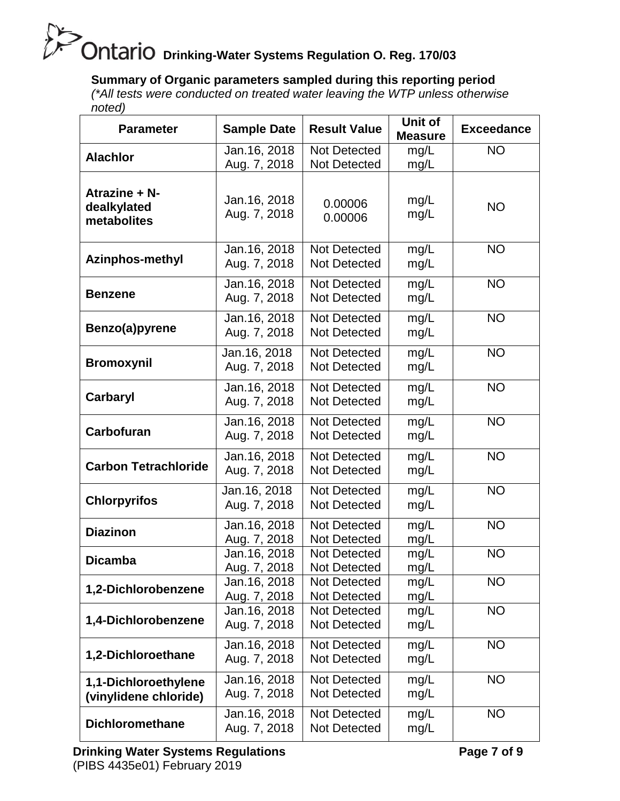#### **Summary of Organic parameters sampled during this reporting period**

*(\*All tests were conducted on treated water leaving the WTP unless otherwise noted)*

| <b>Parameter</b>                              | <b>Sample Date</b>            | <b>Result Value</b>                        | Unit of<br><b>Measure</b> | <b>Exceedance</b> |
|-----------------------------------------------|-------------------------------|--------------------------------------------|---------------------------|-------------------|
| <b>Alachlor</b>                               | Jan. 16, 2018<br>Aug. 7, 2018 | Not Detected<br><b>Not Detected</b>        | mg/L<br>mg/L              | <b>NO</b>         |
| Atrazine + N-<br>dealkylated<br>metabolites   | Jan. 16, 2018<br>Aug. 7, 2018 | 0.00006<br>0.00006                         | mg/L<br>mg/L              | <b>NO</b>         |
| <b>Azinphos-methyl</b>                        | Jan. 16, 2018<br>Aug. 7, 2018 | <b>Not Detected</b><br>Not Detected        | mg/L<br>mg/L              | <b>NO</b>         |
| <b>Benzene</b>                                | Jan. 16, 2018<br>Aug. 7, 2018 | <b>Not Detected</b><br><b>Not Detected</b> | mg/L<br>mg/L              | <b>NO</b>         |
| Benzo(a)pyrene                                | Jan. 16, 2018<br>Aug. 7, 2018 | <b>Not Detected</b><br><b>Not Detected</b> | mg/L<br>mg/L              | <b>NO</b>         |
| <b>Bromoxynil</b>                             | Jan. 16, 2018<br>Aug. 7, 2018 | <b>Not Detected</b><br><b>Not Detected</b> | mg/L<br>mg/L              | <b>NO</b>         |
| Carbaryl                                      | Jan. 16, 2018<br>Aug. 7, 2018 | Not Detected<br><b>Not Detected</b>        | mg/L<br>mg/L              | <b>NO</b>         |
| Carbofuran                                    | Jan. 16, 2018<br>Aug. 7, 2018 | <b>Not Detected</b><br><b>Not Detected</b> | mg/L<br>mg/L              | <b>NO</b>         |
| <b>Carbon Tetrachloride</b>                   | Jan. 16, 2018<br>Aug. 7, 2018 | Not Detected<br><b>Not Detected</b>        | mg/L<br>mg/L              | <b>NO</b>         |
| <b>Chlorpyrifos</b>                           | Jan. 16, 2018<br>Aug. 7, 2018 | Not Detected<br>Not Detected               | mg/L<br>mg/L              | <b>NO</b>         |
| <b>Diazinon</b>                               | Jan. 16, 2018<br>Aug. 7, 2018 | <b>Not Detected</b><br>Not Detected        | mg/L<br>mg/L              | <b>NO</b>         |
| <b>Dicamba</b>                                | Jan. 16, 2018<br>Aug. 7, 2018 | <b>Not Detected</b><br><b>Not Detected</b> | mg/L<br>mg/L              | <b>NO</b>         |
| 1,2-Dichlorobenzene                           | Jan. 16, 2018<br>Aug. 7, 2018 | Not Detected<br><b>Not Detected</b>        | mg/L<br>mg/L              | <b>NO</b>         |
| 1,4-Dichlorobenzene                           | Jan. 16, 2018<br>Aug. 7, 2018 | <b>Not Detected</b><br><b>Not Detected</b> | mg/L<br>mg/L              | <b>NO</b>         |
| 1,2-Dichloroethane                            | Jan. 16, 2018<br>Aug. 7, 2018 | <b>Not Detected</b><br><b>Not Detected</b> | mg/L<br>mg/L              | <b>NO</b>         |
| 1,1-Dichloroethylene<br>(vinylidene chloride) | Jan. 16, 2018<br>Aug. 7, 2018 | Not Detected<br><b>Not Detected</b>        | mg/L<br>mg/L              | <b>NO</b>         |
| <b>Dichloromethane</b>                        | Jan. 16, 2018<br>Aug. 7, 2018 | <b>Not Detected</b><br><b>Not Detected</b> | mg/L<br>mg/L              | <b>NO</b>         |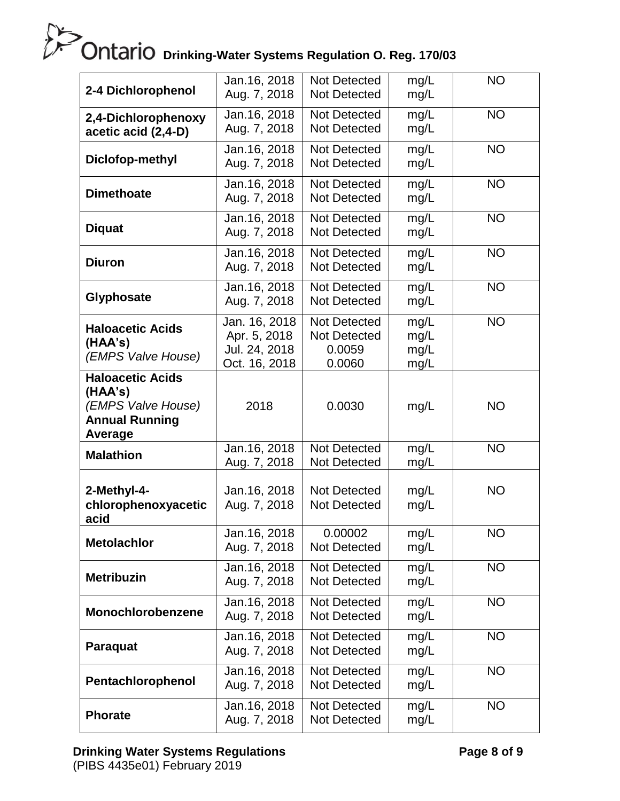| 2-4 Dichlorophenol                                                                           | Jan. 16, 2018<br>Aug. 7, 2018                                   | <b>Not Detected</b><br><b>Not Detected</b>                     | mg/L<br>mg/L                 | <b>NO</b> |
|----------------------------------------------------------------------------------------------|-----------------------------------------------------------------|----------------------------------------------------------------|------------------------------|-----------|
| 2,4-Dichlorophenoxy<br>acetic acid (2,4-D)                                                   | Jan. 16, 2018<br>Aug. 7, 2018                                   | Not Detected<br><b>Not Detected</b>                            | mg/L<br>mg/L                 | <b>NO</b> |
| Diclofop-methyl                                                                              | Jan. 16, 2018<br>Aug. 7, 2018                                   | <b>Not Detected</b><br><b>Not Detected</b>                     | mg/L<br>mg/L                 | <b>NO</b> |
| <b>Dimethoate</b>                                                                            | Jan. 16, 2018<br>Aug. 7, 2018                                   | <b>Not Detected</b><br><b>Not Detected</b>                     | mg/L<br>mg/L                 | <b>NO</b> |
| <b>Diquat</b>                                                                                | Jan. 16, 2018<br>Aug. 7, 2018                                   | <b>Not Detected</b><br><b>Not Detected</b>                     | mg/L<br>mg/L                 | <b>NO</b> |
| <b>Diuron</b>                                                                                | Jan. 16, 2018<br>Aug. 7, 2018                                   | <b>Not Detected</b><br><b>Not Detected</b>                     | mg/L<br>mg/L                 | <b>NO</b> |
| Glyphosate                                                                                   | Jan. 16, 2018<br>Aug. 7, 2018                                   | <b>Not Detected</b><br><b>Not Detected</b>                     | mg/L<br>mg/L                 | <b>NO</b> |
| <b>Haloacetic Acids</b><br>(HAA's)<br>(EMPS Valve House)                                     | Jan. 16, 2018<br>Apr. 5, 2018<br>Jul. 24, 2018<br>Oct. 16, 2018 | <b>Not Detected</b><br><b>Not Detected</b><br>0.0059<br>0.0060 | mg/L<br>mg/L<br>mg/L<br>mg/L | <b>NO</b> |
| <b>Haloacetic Acids</b><br>(HAA's)<br>(EMPS Valve House)<br><b>Annual Running</b><br>Average | 2018                                                            | 0.0030                                                         | mg/L                         | <b>NO</b> |
| <b>Malathion</b>                                                                             | Jan. 16, 2018<br>Aug. 7, 2018                                   | <b>Not Detected</b><br><b>Not Detected</b>                     | mg/L<br>mg/L                 | <b>NO</b> |
| 2-Methyl-4-<br>chlorophenoxyacetic<br>acid                                                   | Jan. 16, 2018<br>Aug. 7, 2018                                   | <b>Not Detected</b><br><b>Not Detected</b>                     | mg/L<br>mg/L                 | <b>NO</b> |
| <b>Metolachlor</b>                                                                           | Jan. 16, 2018<br>Aug. 7, 2018                                   | 0.00002<br><b>Not Detected</b>                                 | mg/L<br>mg/L                 | <b>NO</b> |
| <b>Metribuzin</b>                                                                            | Jan. 16, 2018<br>Aug. 7, 2018                                   | <b>Not Detected</b><br><b>Not Detected</b>                     | mg/L<br>mg/L                 | <b>NO</b> |
| Monochlorobenzene                                                                            | Jan. 16, 2018<br>Aug. 7, 2018                                   | <b>Not Detected</b><br><b>Not Detected</b>                     | mg/L<br>mg/L                 | <b>NO</b> |
| <b>Paraquat</b>                                                                              | Jan. 16, 2018<br>Aug. 7, 2018                                   | <b>Not Detected</b><br><b>Not Detected</b>                     | mg/L<br>mg/L                 | <b>NO</b> |
| Pentachlorophenol                                                                            | Jan. 16, 2018<br>Aug. 7, 2018                                   | <b>Not Detected</b><br><b>Not Detected</b>                     | mg/L<br>mg/L                 | <b>NO</b> |
| <b>Phorate</b>                                                                               | Jan. 16, 2018<br>Aug. 7, 2018                                   | Not Detected<br>Not Detected                                   | mg/L<br>mg/L                 | <b>NO</b> |